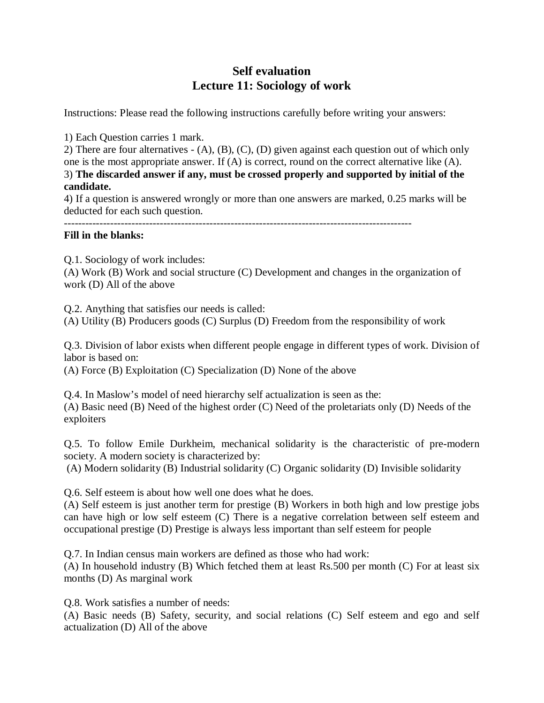## **Self evaluation Lecture 11: Sociology of work**

Instructions: Please read the following instructions carefully before writing your answers:

1) Each Question carries 1 mark.

2) There are four alternatives - (A), (B), (C), (D) given against each question out of which only one is the most appropriate answer. If (A) is correct, round on the correct alternative like (A). 3) **The discarded answer if any, must be crossed properly and supported by initial of the candidate.**

4) If a question is answered wrongly or more than one answers are marked, 0.25 marks will be deducted for each such question.

## **Fill in the blanks:**

Q.1. Sociology of work includes:

(A) Work (B) Work and social structure (C) Development and changes in the organization of work (D) All of the above

Q.2. Anything that satisfies our needs is called:

(A) Utility (B) Producers goods (C) Surplus (D) Freedom from the responsibility of work

Q.3. Division of labor exists when different people engage in different types of work. Division of labor is based on:

(A) Force (B) Exploitation (C) Specialization (D) None of the above

Q.4. In Maslow's model of need hierarchy self actualization is seen as the: (A) Basic need (B) Need of the highest order (C) Need of the proletariats only (D) Needs of the exploiters

Q.5. To follow Emile Durkheim, mechanical solidarity is the characteristic of pre-modern society. A modern society is characterized by:

(A) Modern solidarity (B) Industrial solidarity (C) Organic solidarity (D) Invisible solidarity

Q.6. Self esteem is about how well one does what he does.

(A) Self esteem is just another term for prestige (B) Workers in both high and low prestige jobs can have high or low self esteem (C) There is a negative correlation between self esteem and occupational prestige (D) Prestige is always less important than self esteem for people

Q.7. In Indian census main workers are defined as those who had work:

(A) In household industry (B) Which fetched them at least Rs.500 per month (C) For at least six months (D) As marginal work

Q.8. Work satisfies a number of needs:

(A) Basic needs (B) Safety, security, and social relations (C) Self esteem and ego and self actualization (D) All of the above